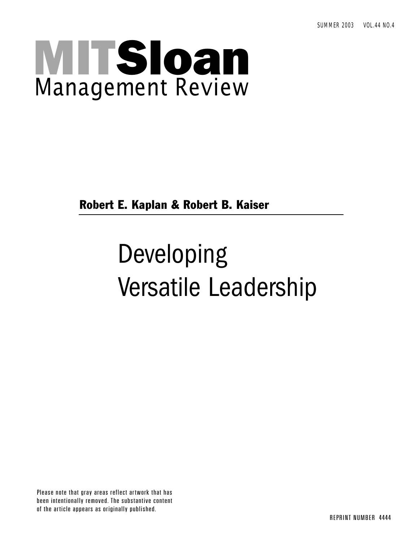# MITSloan Management Review

Robert E. Kaplan & Robert B. Kaiser

## Developing Versatile Leadership

Please note that gray areas reflect artwork that has been intentionally removed. The substantive content of the article appears as originally published.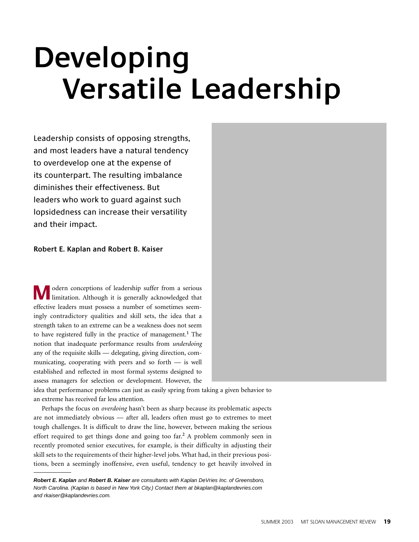## **Developing Versatile Leadership**

Leadership consists of opposing strengths, and most leaders have a natural tendency to overdevelop one at the expense of its counterpart. The resulting imbalance diminishes their effectiveness. But leaders who work to guard against such lopsidedness can increase their versatility and their impact.

#### **Robert E. Kaplan and Robert B. Kaiser**

odern conceptions of leadership suffer from a serious limitation. Although it is generally acknowledged that effective leaders must possess a number of sometimes seemingly contradictory qualities and skill sets, the idea that a strength taken to an extreme can be a weakness does not seem to have registered fully in the practice of management.**<sup>1</sup>** The notion that inadequate performance results from *underdoing* any of the requisite skills — delegating, giving direction, communicating, cooperating with peers and so forth — is well established and reflected in most formal systems designed to assess managers for selection or development. However, the **M**

idea that performance problems can just as easily spring from taking a given behavior to an extreme has received far less attention.

Perhaps the focus on *overdoing* hasn't been as sharp because its problematic aspects are not immediately obvious — after all, leaders often must go to extremes to meet tough challenges. It is difficult to draw the line, however, between making the serious effort required to get things done and going too far.**<sup>2</sup>** A problem commonly seen in recently promoted senior executives, for example, is their difficulty in adjusting their skill sets to the requirements of their higher-level jobs. What had, in their previous positions, been a seemingly inoffensive, even useful, tendency to get heavily involved in

**Robert E. Kaplan** and **Robert B. Kaiser** are consultants with Kaplan DeVries Inc. of Greensboro, North Carolina. (Kaplan is based in New York City.) Contact them at bkaplan@kaplandevries.com and rkaiser@kaplandevries.com.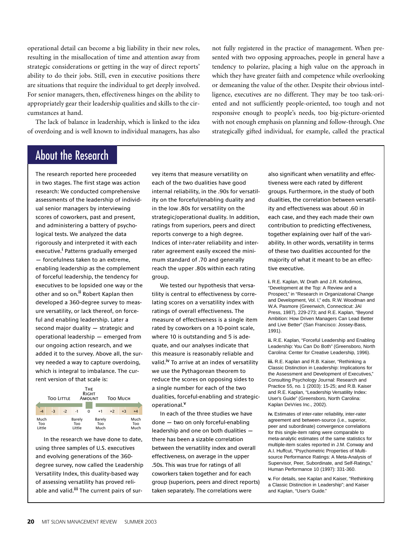operational detail can become a big liability in their new roles, resulting in the misallocation of time and attention away from strategic considerations or getting in the way of direct reports' ability to do their jobs. Still, even in executive positions there are situations that require the individual to get deeply involved. For senior managers, then, effectiveness hinges on the ability to appropriately gear their leadership qualities and skills to the circumstances at hand.

The lack of balance in leadership, which is linked to the idea of overdoing and is well known to individual managers, has also

not fully registered in the practice of management. When presented with two opposing approaches, people in general have a tendency to polarize, placing a high value on the approach in which they have greater faith and competence while overlooking or demeaning the value of the other. Despite their obvious intelligence, executives are no different. They may be too task-oriented and not sufficiently people-oriented, too tough and not responsive enough to people's needs, too big-picture-oriented with not enough emphasis on planning and follow-through. One strategically gifted individual, for example, called the practical

### About the Research

The research reported here proceeded in two stages. The first stage was action research: We conducted comprehensive assessments of the leadership of individual senior managers by interviewing scores of coworkers, past and present, and administering a battery of psychological tests. We analyzed the data rigorously and interpreted it with each executive.**<sup>i</sup>** Patterns gradually emerged — forcefulness taken to an extreme, enabling leadership as the complement of forceful leadership, the tendency for executives to be lopsided one way or the other and so on.**ii** Robert Kaplan then developed a 360-degree survey to measure versatility, or lack thereof, on forceful and enabling leadership. Later a second major duality — strategic and operational leadership — emerged from our ongoing action research, and we added it to the survey. Above all, the survey needed a way to capture overdoing, which is integral to imbalance. The current version of that scale is:

| <b>THE</b><br><b>RIGHT</b><br><b>TOO LITTLE</b><br>AMOUNT<br><b>TOO MUCH</b> |      |      |                         |   |                       |      |      |                     |  |
|------------------------------------------------------------------------------|------|------|-------------------------|---|-----------------------|------|------|---------------------|--|
| $-4$                                                                         | $-3$ | $-2$ | $-1$                    | o | $+1$                  | $+2$ | $+3$ | $+4$                |  |
| Much<br>Too<br>Little                                                        |      |      | Barely<br>Too<br>Little |   | Barely<br>Too<br>Much |      |      | Much<br>Too<br>Much |  |

In the research we have done to date, using three samples of U.S. executives and evolving generations of the 360 degree survey, now called the Leadership Versatility Index, this duality-based way of assessing versatility has proved reliable and valid.**iii** The current pairs of survey items that measure versatility on each of the two dualities have good internal reliability, in the .90s for versatility on the forceful/enabling duality and in the low .80s for versatility on the strategic/operational duality. In addition, ratings from superiors, peers and direct reports converge to a high degree. Indices of inter-rater reliability and interrater agreement easily exceed the minimum standard of .70 and generally reach the upper .80s within each rating group.

We tested our hypothesis that versatility is central to effectiveness by correlating scores on a versatility index with ratings of overall effectiveness. The measure of effectiveness is a single item rated by coworkers on a 10-point scale, where 10 is outstanding and 5 is adequate, and our analyses indicate that this measure is reasonably reliable and valid.**iv** To arrive at an index of versatility we use the Pythagorean theorem to reduce the scores on opposing sides to a single number for each of the two dualities, forceful-enabling and strategicoperational.**<sup>v</sup>**

In each of the three studies we have done — two on only forceful-enabling leadership and one on both dualities there has been a sizable correlation between the versatility index and overall effectiveness, on average in the upper .50s. This was true for ratings of all coworkers taken together and for each group (superiors, peers and direct reports) taken separately. The correlations were

also significant when versatility and effectiveness were each rated by different groups. Furthermore, in the study of both dualities, the correlation between versatility and effectiveness was about .60 in each case, and they each made their own contribution to predicting effectiveness, together explaining over half of the variability. In other words, versatility in terms of these two dualities accounted for the majority of what it meant to be an effective executive.

**i.** R.E. Kaplan, W. Drath and J.R. Kofodimos, "Development at the Top: A Review and a Prospect," in "Research in Organizational Change and Development, Vol. I," eds. R.W. Woodman and W.A. Pasmore (Greenwich, Connecticut: JAI Press, 1987), 229-273; and R.E. Kaplan, "Beyond Ambition: How Driven Managers Can Lead Better and Live Better" (San Francisco: Jossey-Bass, 1991).

**ii.** R.E. Kaplan, "Forceful Leadership and Enabling Leadership: You Can Do Both" (Greensboro, North Carolina: Center for Creative Leadership, 1996).

**iii.** R.E. Kaplan and R.B. Kaiser, "Rethinking a Classic Distinction in Leadership: Implications for the Assessment and Development of Executives," Consulting Psychology Journal: Research and Practice 55, no. 1 (2003): 15-25; and R.B. Kaiser and R.E. Kaplan, "Leadership Versatility Index: User's Guide" (Greensboro, North Carolina: Kaplan DeVries Inc., 2002).

**iv.** Estimates of inter-rater reliability, inter-rater agreement and between-source (i.e., superior, peer and subordinate) convergence correlations for this single-item rating were comparable to meta-analytic estimates of the same statistics for multiple-item scales reported in J.M. Conway and A.I. Huffcut, "Psychometric Properties of Multisource Performance Ratings: A Meta-Analysis of Supervisor, Peer, Subordinate, and Self-Ratings," Human Performance 10 (1997): 331-360.

**v.** For details, see Kaplan and Kaiser, "Rethinking a Classic Distinction in Leadership"; and Kaiser and Kaplan, "User's Guide."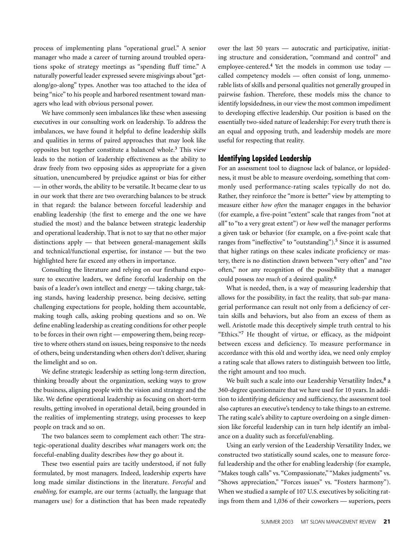process of implementing plans "operational gruel." A senior manager who made a career of turning around troubled operations spoke of strategy meetings as "spending fluff time." A naturally powerful leader expressed severe misgivings about "getalong/go-along" types. Another was too attached to the idea of being "nice" to his people and harbored resentment toward managers who lead with obvious personal power.

We have commonly seen imbalances like these when assessing executives in our consulting work on leadership. To address the imbalances, we have found it helpful to define leadership skills and qualities in terms of paired approaches that may look like opposites but together constitute a balanced whole.**<sup>3</sup>** This view leads to the notion of leadership effectiveness as the ability to draw freely from two opposing sides as appropriate for a given situation, unencumbered by prejudice against or bias for either — in other words, the ability to be versatile. It became clear to us in our work that there are two overarching balances to be struck in that regard: the balance between forceful leadership and enabling leadership (the first to emerge and the one we have studied the most) and the balance between strategic leadership and operational leadership. That is not to say that no other major distinctions apply — that between general-management skills and technical/functional expertise, for instance — but the two highlighted here far exceed any others in importance.

Consulting the literature and relying on our firsthand exposure to executive leaders, we define forceful leadership on the basis of a leader's own intellect and energy — taking charge, taking stands, having leadership presence, being decisive, setting challenging expectations for people, holding them accountable, making tough calls, asking probing questions and so on. We define enabling leadership as creating conditions for other people to be forces in their own right — empowering them, being receptive to where others stand on issues, being responsive to the needs of others, being understanding when others don't deliver, sharing the limelight and so on.

We define strategic leadership as setting long-term direction, thinking broadly about the organization, seeking ways to grow the business, aligning people with the vision and strategy and the like. We define operational leadership as focusing on short-term results, getting involved in operational detail, being grounded in the realities of implementing strategy, using processes to keep people on track and so on.

The two balances seem to complement each other: The strategic-operational duality describes *what* managers work on; the forceful-enabling duality describes *how* they go about it.

These two essential pairs are tacitly understood, if not fully formulated, by most managers. Indeed, leadership experts have long made similar distinctions in the literature. *Forceful* and *enabling,* for example, are our terms (actually, the language that managers use) for a distinction that has been made repeatedly over the last 50 years — autocratic and participative, initiating structure and consideration, "command and control" and employee-centered.**<sup>4</sup>** Yet the models in common use today called competency models — often consist of long, unmemorable lists of skills and personal qualities not generally grouped in pairwise fashion. Therefore, these models miss the chance to identify lopsidedness, in our view the most common impediment to developing effective leadership. Our position is based on the essentially two-sided nature of leadership: For every truth there is an equal and opposing truth, and leadership models are more useful for respecting that reality.

#### **Identifying Lopsided Leadership**

For an assessment tool to diagnose lack of balance, or lopsidedness, it must be able to measure overdoing, something that commonly used performance-rating scales typically do not do. Rather, they reinforce the "more is better" view by attempting to measure either *how often* the manager engages in the behavior (for example, a five-point "extent" scale that ranges from "not at all" to "to a very great extent") or *how well* the manager performs a given task or behavior (for example, on a five-point scale that ranges from "ineffective" to "outstanding").**<sup>5</sup>** Since it is assumed that higher ratings on these scales indicate proficiency or mastery, there is no distinction drawn between "very often" and "*too* often," nor any recognition of the possibility that a manager could possess *too much* of a desired quality.**<sup>6</sup>**

What is needed, then, is a way of measuring leadership that allows for the possibility, in fact the reality, that sub-par managerial performance can result not only from a deficiency of certain skills and behaviors, but also from an excess of them as well. Aristotle made this deceptively simple truth central to his "Ethics."**<sup>7</sup>** He thought of virtue, or efficacy, as the midpoint between excess and deficiency. To measure performance in accordance with this old and worthy idea, we need only employ a rating scale that allows raters to distinguish between too little, the right amount and too much.

We built such a scale into our Leadership Versatility Index,**<sup>8</sup>** a 360-degree questionnaire that we have used for 10 years. In addition to identifying deficiency and sufficiency, the assessment tool also captures an executive's tendency to take things to an extreme. The rating scale's ability to capture overdoing on a single dimension like forceful leadership can in turn help identify an imbalance on a duality such as forceful/enabling.

Using an early version of the Leadership Versatility Index, we constructed two statistically sound scales, one to measure forceful leadership and the other for enabling leadership (for example, "Makes tough calls" vs. "Compassionate," "Makes judgments" vs. "Shows appreciation," "Forces issues" vs. "Fosters harmony"). When we studied a sample of 107 U.S. executives by soliciting ratings from them and 1,036 of their coworkers — superiors, peers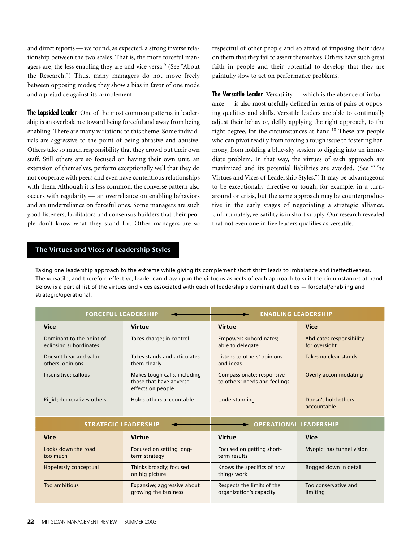and direct reports — we found, as expected, a strong inverse relationship between the two scales. That is, the more forceful managers are, the less enabling they are and vice versa.**<sup>9</sup>** (See "About the Research.") Thus, many managers do not move freely between opposing modes; they show a bias in favor of one mode and a prejudice against its complement.

**The Lopsided Leader** One of the most common patterns in leadership is an overbalance toward being forceful and away from being enabling. There are many variations to this theme. Some individuals are aggressive to the point of being abrasive and abusive. Others take so much responsibility that they crowd out their own staff. Still others are so focused on having their own unit, an extension of themselves, perform exceptionally well that they do not cooperate with peers and even have contentious relationships with them. Although it is less common, the converse pattern also occurs with regularity — an overreliance on enabling behaviors and an underreliance on forceful ones. Some managers are such good listeners, facilitators and consensus builders that their people don't know what they stand for. Other managers are so respectful of other people and so afraid of imposing their ideas on them that they fail to assert themselves. Others have such great faith in people and their potential to develop that they are painfully slow to act on performance problems.

**The Versatile Leader** Versatility — which is the absence of imbalance — is also most usefully defined in terms of pairs of opposing qualities and skills. Versatile leaders are able to continually adjust their behavior, deftly applying the right approach, to the right degree, for the circumstances at hand.**<sup>10</sup>** These are people who can pivot readily from forcing a tough issue to fostering harmony, from holding a blue-sky session to digging into an immediate problem. In that way, the virtues of each approach are maximized and its potential liabilities are avoided. (See "The Virtues and Vices of Leadership Styles.") It may be advantageous to be exceptionally directive or tough, for example, in a turnaround or crisis, but the same approach may be counterproductive in the early stages of negotiating a strategic alliance. Unfortunately, versatility is in short supply. Our research revealed that not even one in five leaders qualifies as versatile.

### **The Virtues and Vices of Leadership Styles**

Taking one leadership approach to the extreme while giving its complement short shrift leads to imbalance and ineffectiveness. The versatile, and therefore effective, leader can draw upon the virtuous aspects of each approach to suit the circumstances at hand. Below is a partial list of the virtues and vices associated with each of leadership's dominant dualities — forceful/enabling and strategic/operational.

| <b>FORCEFUL LEADERSHIP</b>                         |                                                                              | <b>ENABLING LEADERSHIP</b>                                 |                                           |  |
|----------------------------------------------------|------------------------------------------------------------------------------|------------------------------------------------------------|-------------------------------------------|--|
| <b>Vice</b>                                        | <b>Virtue</b>                                                                | Virtue                                                     | <b>Vice</b>                               |  |
| Dominant to the point of<br>eclipsing subordinates | Takes charge; in control                                                     | Empowers subordinates;<br>able to delegate                 | Abdicates responsibility<br>for oversight |  |
| Doesn't hear and value<br>others' opinions         | Takes stands and articulates<br>them clearly                                 | Listens to others' opinions<br>and ideas                   | Takes no clear stands                     |  |
| Insensitive: callous                               | Makes tough calls, including<br>those that have adverse<br>effects on people | Compassionate; responsive<br>to others' needs and feelings | Overly accommodating                      |  |
| Rigid; demoralizes others                          | Holds others accountable                                                     | Understanding                                              | Doesn't hold others<br>accountable        |  |
|                                                    |                                                                              |                                                            |                                           |  |

| <b>STRATEGIC IFADERSHIP</b>     |                                                     | <b>ATIONAL LEADERSHIP</b>                             |                                  |  |  |
|---------------------------------|-----------------------------------------------------|-------------------------------------------------------|----------------------------------|--|--|
| <b>Vice</b>                     | Virtue                                              | Virtue                                                | <b>Vice</b>                      |  |  |
| Looks down the road<br>too much | Focused on setting long-<br>term strategy           | Focused on getting short-<br>term results             | Myopic; has tunnel vision        |  |  |
| Hopelessly conceptual           | Thinks broadly; focused<br>on big picture           | Knows the specifics of how<br>things work             | Bogged down in detail            |  |  |
| Too ambitious                   | Expansive; aggressive about<br>growing the business | Respects the limits of the<br>organization's capacity | Too conservative and<br>limiting |  |  |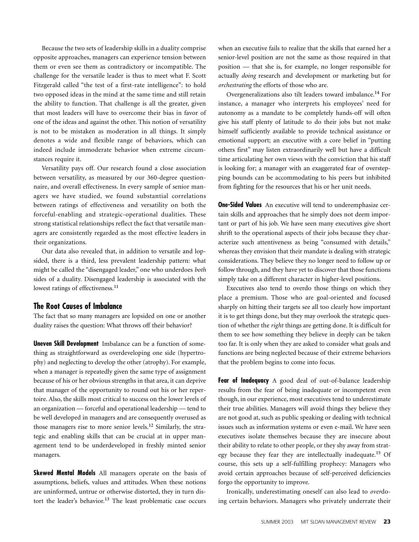Because the two sets of leadership skills in a duality comprise opposite approaches, managers can experience tension between them or even see them as contradictory or incompatible. The challenge for the versatile leader is thus to meet what F. Scott Fitzgerald called "the test of a first-rate intelligence": to hold two opposed ideas in the mind at the same time and still retain the ability to function. That challenge is all the greater, given that most leaders will have to overcome their bias in favor of one of the ideas and against the other. This notion of versatility is not to be mistaken as moderation in all things. It simply denotes a wide and flexible range of behaviors, which can indeed include immoderate behavior when extreme circumstances require it.

Versatility pays off. Our research found a close association between versatility, as measured by our 360-degree questionnaire, and overall effectiveness. In every sample of senior managers we have studied, we found substantial correlations between ratings of effectiveness and versatility on both the forceful-enabling and strategic-operational dualities. These strong statistical relationships reflect the fact that versatile managers are consistently regarded as the most effective leaders in their organizations.

Our data also revealed that, in addition to versatile and lopsided, there is a third, less prevalent leadership pattern: what might be called the "disengaged leader," one who underdoes *both* sides of a duality. Disengaged leadership is associated with the lowest ratings of effectiveness.**<sup>11</sup>**

#### **The Root Causes of Imbalance**

The fact that so many managers are lopsided on one or another duality raises the question: What throws off their behavior?

**Uneven Skill Development** Imbalance can be a function of something as straightforward as overdeveloping one side (hypertrophy) and neglecting to develop the other (atrophy). For example, when a manager is repeatedly given the same type of assignment because of his or her obvious strengths in that area, it can deprive that manager of the opportunity to round out his or her repertoire. Also, the skills most critical to success on the lower levels of an organization — forceful and operational leadership — tend to be well developed in managers and are consequently overused as those managers rise to more senior levels.**<sup>12</sup>** Similarly, the strategic and enabling skills that can be crucial at in upper management tend to be underdeveloped in freshly minted senior managers.

**Skewed Mental Models** All managers operate on the basis of assumptions, beliefs, values and attitudes. When these notions are uninformed, untrue or otherwise distorted, they in turn distort the leader's behavior.**<sup>13</sup>** The least problematic case occurs when an executive fails to realize that the skills that earned her a senior-level position are not the same as those required in that position — that she is, for example, no longer responsible for actually *doing* research and development or marketing but for *orchestrating* the efforts of those who are.

Overgeneralizations also tilt leaders toward imbalance.**<sup>14</sup>** For instance, a manager who interprets his employees' need for autonomy as a mandate to be completely hands-off will often give his staff plenty of latitude to do their jobs but not make himself sufficiently available to provide technical assistance or emotional support; an executive with a core belief in "putting others first" may listen extraordinarily well but have a difficult time articulating her own views with the conviction that his staff is looking for; a manager with an exaggerated fear of overstepping bounds can be accommodating to his peers but inhibited from fighting for the resources that his or her unit needs.

**One-Sided Values** An executive will tend to underemphasize certain skills and approaches that he simply does not deem important or part of his job. We have seen many executives give short shrift to the operational aspects of their jobs because they characterize such attentiveness as being "consumed with details," whereas they envision that their mandate is dealing with strategic considerations. They believe they no longer need to follow up or follow through, and they have yet to discover that those functions simply take on a different character in higher-level positions.

Executives also tend to overdo those things on which they place a premium. Those who are goal-oriented and focused sharply on hitting their targets see all too clearly how important it is to get things done, but they may overlook the strategic question of whether the *right* things are getting done. It is difficult for them to see how something they believe in deeply can be taken too far. It is only when they are asked to consider what goals and functions are being neglected because of their extreme behaviors that the problem begins to come into focus.

**Fear of Inadequacy** A good deal of out-of-balance leadership results from the fear of being inadequate or incompetent even though, in our experience, most executives tend to underestimate their true abilities. Managers will avoid things they believe they are not good at, such as public speaking or dealing with technical issues such as information systems or even e-mail. We have seen executives isolate themselves because they are insecure about their ability to relate to other people, or they shy away from strategy because they fear they are intellectually inadequate.**<sup>15</sup>** Of course, this sets up a self-fulfilling prophecy: Managers who avoid certain approaches because of self-perceived deficiencies forgo the opportunity to improve.

Ironically, underestimating oneself can also lead to *over*doing certain behaviors. Managers who privately underrate their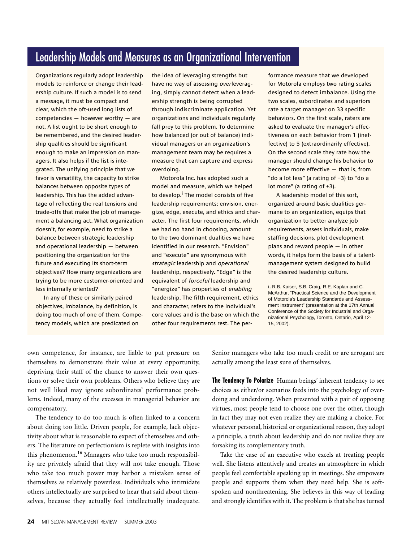### Leadership Models and Measures as an Organizational Intervention

Organizations regularly adopt leadership models to reinforce or change their leadership culture. If such a model is to send a message, it must be compact and clear, which the oft-used long lists of  $competencies - however worthy - are$ not. A list ought to be short enough to be remembered, and the desired leadership qualities should be significant enough to make an impression on managers. It also helps if the list is integrated. The unifying principle that we favor is versatility, the capacity to strike balances between opposite types of leadership. This has the added advantage of reflecting the real tensions and trade-offs that make the job of management a balancing act. What organization doesn't, for example, need to strike a balance between strategic leadership and operational leadership — between positioning the organization for the future and executing its short-term objectives? How many organizations are trying to be more customer-oriented and less internally oriented?

In any of these or similarly paired objectives, imbalance, by definition, is doing too much of one of them. Competency models, which are predicated on

the idea of leveraging strengths but have no way of assessing overleveraging, simply cannot detect when a leadership strength is being corrupted through indiscriminate application. Yet organizations and individuals regularly fall prey to this problem. To determine how balanced (or out of balance) individual managers or an organization's management team may be requires a measure that can capture and express overdoing.

Motorola Inc. has adopted such a model and measure, which we helped to develop.**<sup>i</sup>** The model consists of five leadership requirements: envision, energize, edge, execute, and ethics and character. The first four requirements, which we had no hand in choosing, amount to the two dominant dualities we have identified in our research. "Envision" and "execute" are synonymous with strategic leadership and operational leadership, respectively. "Edge" is the equivalent of forceful leadership and "energize" has properties of enabling leadership. The fifth requirement, ethics and character, refers to the individual's core values and is the base on which the other four requirements rest. The performance measure that we developed for Motorola employs two rating scales designed to detect imbalance. Using the two scales, subordinates and superiors rate a target manager on 33 specific behaviors. On the first scale, raters are asked to evaluate the manager's effectiveness on each behavior from 1 (ineffective) to 5 (extraordinarily effective). On the second scale they rate how the manager should change his behavior to become more effective — that is, from "do a lot less" (a rating of –3) to "do a lot more" (a rating of +3).

A leadership model of this sort, organized around basic dualities germane to an organization, equips that organization to better analyze job requirements, assess individuals, make staffing decisions, plot development plans and reward people — in other words, it helps form the basis of a talentmanagement system designed to build the desired leadership culture.

**i.** R.B. Kaiser, S.B. Craig, R.E. Kaplan and C. McArthur, "Practical Science and the Development of Motorola's Leadership Standards and Assessment Instrument" (presentation at the 17th Annual Conference of the Society for Industrial and Organizational Psychology, Toronto, Ontario, April 12- 15, 2002).

own competence, for instance, are liable to put pressure on themselves to demonstrate their value at every opportunity, depriving their staff of the chance to answer their own questions or solve their own problems. Others who believe they are not well liked may ignore subordinates' performance problems. Indeed, many of the excesses in managerial behavior are compensatory.

The tendency to do too much is often linked to a concern about doing too little. Driven people, for example, lack objectivity about what is reasonable to expect of themselves and others. The literature on perfectionism is replete with insights into this phenomenon.**<sup>16</sup>** Managers who take too much responsibility are privately afraid that they will not take enough. Those who take too much power may harbor a mistaken sense of themselves as relatively powerless. Individuals who intimidate others intellectually are surprised to hear that said about themselves, because they actually feel intellectually inadequate.

Senior managers who take too much credit or are arrogant are actually among the least sure of themselves.

**The Tendency To Polarize** Human beings' inherent tendency to see choices as either/or scenarios feeds into the psychology of overdoing and underdoing. When presented with a pair of opposing virtues, most people tend to choose one over the other, though in fact they may not even realize they are making a choice. For whatever personal, historical or organizational reason, they adopt a principle, a truth about leadership and do not realize they are forsaking its complementary truth.

Take the case of an executive who excels at treating people well. She listens attentively and creates an atmosphere in which people feel comfortable speaking up in meetings. She empowers people and supports them when they need help. She is softspoken and nonthreatening. She believes in this way of leading and strongly identifies with it. The problem is that she has turned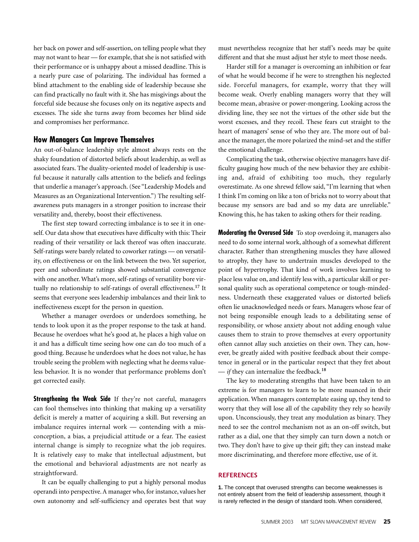her back on power and self-assertion, on telling people what they may not want to hear — for example, that she is not satisfied with their performance or is unhappy about a missed deadline. This is a nearly pure case of polarizing. The individual has formed a blind attachment to the enabling side of leadership because she can find practically no fault with it. She has misgivings about the forceful side because she focuses only on its negative aspects and excesses. The side she turns away from becomes her blind side and compromises her performance.

#### **How Managers Can Improve Themselves**

An out-of-balance leadership style almost always rests on the shaky foundation of distorted beliefs about leadership, as well as associated fears. The duality-oriented model of leadership is useful because it naturally calls attention to the beliefs and feelings that underlie a manager's approach. (See "Leadership Models and Measures as an Organizational Intervention.") The resulting selfawareness puts managers in a stronger position to increase their versatility and, thereby, boost their effectiveness.

The first step toward correcting imbalance is to see it in oneself. Our data show that executives have difficulty with this: Their reading of their versatility or lack thereof was often inaccurate. Self-ratings were barely related to coworker ratings — on versatility, on effectiveness or on the link between the two. Yet superior, peer and subordinate ratings showed substantial convergence with one another. What's more, self-ratings of versatility bore virtually no relationship to self-ratings of overall effectiveness.**<sup>17</sup>** It seems that everyone sees leadership imbalances and their link to ineffectiveness except for the person in question.

Whether a manager overdoes or underdoes something, he tends to look upon it as the proper response to the task at hand. Because he overdoes what he's good at, he places a high value on it and has a difficult time seeing how one can do too much of a good thing. Because he underdoes what he does not value, he has trouble seeing the problem with neglecting what he deems valueless behavior. It is no wonder that performance problems don't get corrected easily.

**Strengthening the Weak Side** If they're not careful, managers can fool themselves into thinking that making up a versatility deficit is merely a matter of acquiring a skill. But reversing an imbalance requires internal work — contending with a misconception, a bias, a prejudicial attitude or a fear. The easiest internal change is simply to recognize what the job requires. It is relatively easy to make that intellectual adjustment, but the emotional and behavioral adjustments are not nearly as straightforward.

It can be equally challenging to put a highly personal modus operandi into perspective. A manager who, for instance, values her own autonomy and self-sufficiency and operates best that way must nevertheless recognize that her staff's needs may be quite different and that she must adjust her style to meet those needs.

Harder still for a manager is overcoming an inhibition or fear of what he would become if he were to strengthen his neglected side. Forceful managers, for example, worry that they will become weak. Overly enabling managers worry that they will become mean, abrasive or power-mongering. Looking across the dividing line, they see not the virtues of the other side but the worst excesses, and they recoil. These fears cut straight to the heart of managers' sense of who they are. The more out of balance the manager, the more polarized the mind-set and the stiffer the emotional challenge.

Complicating the task, otherwise objective managers have difficulty gauging how much of the new behavior they are exhibiting and, afraid of exhibiting too much, they regularly overestimate. As one shrewd fellow said, "I'm learning that when I think I'm coming on like a ton of bricks not to worry about that because my sensors are bad and so my data are unreliable." Knowing this, he has taken to asking others for their reading.

**Moderating the Overused Side** To stop overdoing it, managers also need to do some internal work, although of a somewhat different character. Rather than strengthening muscles they have allowed to atrophy, they have to undertrain muscles developed to the point of hypertrophy. That kind of work involves learning to place less value on, and identify less with, a particular skill or personal quality such as operational competence or tough-mindedness. Underneath these exaggerated values or distorted beliefs often lie unacknowledged needs or fears. Managers whose fear of not being responsible enough leads to a debilitating sense of responsibility, or whose anxiety about not adding enough value causes them to strain to prove themselves at every opportunity often cannot allay such anxieties on their own. They can, however, be greatly aided with positive feedback about their competence in general or in the particular respect that they fret about — *if* they can internalize the feedback.**<sup>18</sup>**

The key to moderating strengths that have been taken to an extreme is for managers to learn to be more nuanced in their application. When managers contemplate easing up, they tend to worry that they will lose all of the capability they rely so heavily upon. Unconsciously, they treat any modulation as binary. They need to see the control mechanism not as an on-off switch, but rather as a dial, one that they simply can turn down a notch or two. They don't have to give up their gift; they can instead make more discriminating, and therefore more effective, use of it.

#### **REFERENCES**

**1.** The concept that overused strengths can become weaknesses is not entirely absent from the field of leadership assessment, though it is rarely reflected in the design of standard tools. When considered,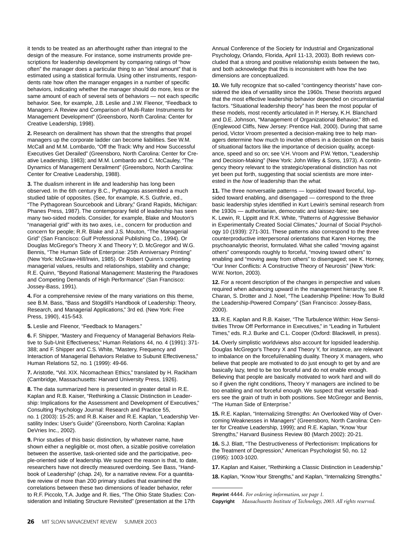it tends to be treated as an afterthought rather than integral to the design of the measure. For instance, some instruments provide prescriptions for leadership development by comparing ratings of "how often" the manager does a particular thing to an "ideal amount" that is estimated using a statistical formula. Using other instruments, respondents rate how often the manager engages in a number of specific behaviors, indicating whether the manager should do more, less or the same amount of each of several sets of behaviors — not each specific behavior. See, for example, J.B. Leslie and J.W. Fleenor, "Feedback to Managers: A Review and Comparison of Multi-Rater Instruments for Management Development" (Greensboro, North Carolina: Center for Creative Leadership, 1998).

**2.** Research on derailment has shown that the strengths that propel managers up the corporate ladder can become liabilities. See W.M. McCall and M.M. Lombardo, "Off the Track: Why and How Successful Executives Get Derailed" (Greensboro, North Carolina: Center for Creative Leadership, 1983); and M.M. Lombardo and C. McCauley, "The Dynamics of Management Derailment" (Greensboro, North Carolina: Center for Creative Leadership, 1988).

**3.** The dualism inherent in life and leadership has long been observed. In the 6th century B.C., Pythagoras assembled a much studied table of opposites. (See, for example, K.S. Guthrie, ed., "The Pythagorean Sourcebook and Library," Grand Rapids, Michigan: Phanes Press, 1987). The contemporary field of leadership has seen many two-sided models. Consider, for example, Blake and Mouton's "managerial grid" with its two axes, i.e., concern for production and concern for people; R.R. Blake and J.S. Mouton, "The Managerial Grid" (San Francisco: Gulf Professional Publishing Co., 1994). Or Douglas McGregor's Theory X and Theory Y; D. McGregor and W.G. Bennis, "The Human Side of Enterprise: 25th Anniversary Printing" (New York: McGraw-Hill/Irwin, 1985). Or Robert Quinn's competing managerial values, results and relationships, stability and change; R.E. Quinn, "Beyond Rational Management: Mastering the Paradoxes and Competing Demands of High Performance" (San Francisco: Jossey-Bass, 1991).

**4.** For a comprehensive review of the many variations on this theme, see B.M. Bass, "Bass and Stogdill's Handbook of Leadership: Theory, Research, and Managerial Applications," 3rd ed. (New York: Free Press, 1990), 415-543.

**5.** Leslie and Fleenor, "Feedback to Managers."

**6.** F. Shipper, "Mastery and Frequency of Managerial Behaviors Relative to Sub-Unit Effectiveness," Human Relations 44, no. 4 (1991): 371- 388; and F. Shipper and C.S. White, "Mastery, Frequency and Interaction of Managerial Behaviors Relative to Subunit Effectiveness," Human Relations 52, no. 1 (1999): 49-66.

**7.** Aristotle, "Vol. XIX. Nicomachean Ethics," translated by H. Rackham (Cambridge, Massachusetts: Harvard University Press, 1926).

**8.** The data summarized here is presented in greater detail in R.E. Kaplan and R.B. Kaiser, "Rethinking a Classic Distinction in Leadership: Implications for the Assessment and Development of Executives," Consulting Psychology Journal: Research and Practice 55, no. 1 (2003): 15-25; and R.B. Kaiser and R.E. Kaplan, "Leadership Versatility Index: User's Guide" (Greensboro, North Carolina: Kaplan DeVries Inc., 2002).

**9.** Prior studies of this basic distinction, by whatever name, have shown either a negligible or, most often, a sizable positive correlation between the assertive, task-oriented side and the participative, people-oriented side of leadership. We suspect the reason is that, to date, researchers have not directly measured overdoing. See Bass, "Handbook of Leadership" (chap. 24), for a narrative review. For a quantitative review of more than 200 primary studies that examined the correlations between these two dimensions of leader behavior, refer to R.F. Piccolo, T.A. Judge and R. Ilies, "The Ohio State Studies: Consideration and Initiating Structure Revisited" (presentation at the 17th

Annual Conference of the Society for Industrial and Organizational Psychology, Orlando, Florida, April 11-13, 2003). Both reviews concluded that a strong and positive relationship exists between the two, and both acknowledge that this is inconsistent with how the two dimensions are conceptualized.

**10.** We fully recognize that so-called "contingency theorists" have considered the idea of versatility since the 1960s. These theorists argued that the most effective leadership behavior depended on circumstantial factors. "Situational leadership theory" has been the most popular of these models, most recently articulated in P. Hersey, K.H. Blanchard and D.E. Johnson, "Management of Organizational Behavior," 8th ed. (Englewood Cliffs, New Jersey: Prentice Hall, 2000). During that same period, Victor Vroom presented a decision-making tree to help managers determine how much to involve others in a decision on the basis of situational factors like the importance of decision quality, acceptance, speed and so on; see V.H. Vroom and P.W. Yetton, "Leadership and Decision-Making" (New York: John Wiley & Sons, 1973). A contingency theory relevant to the strategic/operational distinction has not yet been put forth, suggesting that social scientists are more interested in the how of leadership than the what.

**11.** The three nonversatile patterns — lopsided toward forceful, lopsided toward enabling, and disengaged — correspond to the three basic leadership styles identified in Kurt Lewin's seminal research from the 1930s — authoritarian, democratic and laissez-faire; see K. Lewin, R. Lippitt and R.K. White, "Patterns of Aggressive Behavior in Experimentally Created Social Climates," Journal of Social Psychology 10 (1939): 271-301. These patterns also correspond to the three counterproductive interpersonal orientations that Karen Horney, the psychoanalytic theorist, formulated. What she called "moving against others" corresponds roughly to forceful, "moving toward others" to enabling and "moving away from others" to disengaged; see K. Horney, "Our Inner Conflicts: A Constructive Theory of Neurosis" (New York: W.W. Norton, 2003).

**12.** For a recent description of the changes in perspective and values required when advancing upward in the management hierarchy, see R. Charan, S. Drotter and J. Noel, "The Leadership Pipeline: How To Build the Leadership-Powered Company" (San Francisco: Jossey-Bass, 2000).

**13.** R.E. Kaplan and R.B. Kaiser, "The Turbulence Within: How Sensitivities Throw Off Performance in Executives," in "Leading in Turbulent Times," eds. R.J. Burke and C.L. Cooper (Oxford: Blackwell, in press).

**14.** Overly simplistic worldviews also account for lopsided leadership. Douglas McGregor's Theory X and Theory Y, for instance, are relevant to imbalance on the forceful/enabling duality. Theory X managers, who believe that people are motivated to do just enough to get by and are basically lazy, tend to be too forceful and do not enable enough. Believing that people are basically motivated to work hard and will do so if given the right conditions, Theory Y managers are inclined to be too enabling and not forceful enough. We suspect that versatile leaders see the grain of truth in both positions. See McGregor and Bennis, "The Human Side of Enterprise."

**15.** R.E. Kaplan, "Internalizing Strengths: An Overlooked Way of Overcoming Weaknesses in Managers" (Greensboro, North Carolina: Center for Creative Leadership, 1999); and R.E. Kaplan, "Know Your Strengths," Harvard Business Review 80 (March 2002): 20-21.

**16.** S.J. Blatt, "The Destructiveness of Perfectionism: Implications for the Treatment of Depression," American Psychologist 50, no. 12 (1995): 1003-1020.

**17.** Kaplan and Kaiser, "Rethinking a Classic Distinction in Leadership."

**18.** Kaplan, "Know Your Strengths," and Kaplan, "Internalizing Strengths."

**Reprint** 4444. *For ordering information, see page 1.*

**Copyright** *Massachusetts Institute of Technology, 2003. All rights reserved.*